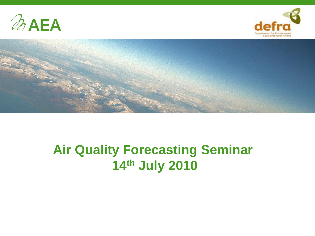





## **Air Quality Forecasting Seminar 14th July 2010**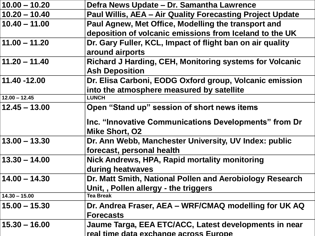| $10.00 - 10.20$ | Defra News Update – Dr. Samantha Lawrence                 |
|-----------------|-----------------------------------------------------------|
| $10.20 - 10.40$ | Paul Willis, AEA - Air Quality Forecasting Project Update |
| $10.40 - 11.00$ | Paul Agnew, Met Office, Modelling the transport and       |
|                 | deposition of volcanic emissions from Iceland to the UK   |
| $11.00 - 11.20$ | Dr. Gary Fuller, KCL, Impact of flight ban on air quality |
|                 | around airports                                           |
| $11.20 - 11.40$ | Richard J Harding, CEH, Monitoring systems for Volcanic   |
|                 | <b>Ash Deposition</b>                                     |
| 11.40 -12.00    | Dr. Elisa Carboni, EODG Oxford group, Volcanic emission   |
|                 | into the atmosphere measured by satellite                 |
| $12.00 - 12.45$ | <b>LUNCH</b>                                              |
| $12.45 - 13.00$ | Open "Stand up" session of short news items               |
|                 | Inc. "Innovative Communications Developments" from Dr     |
|                 | <b>Mike Short, O2</b>                                     |
| $13.00 - 13.30$ | Dr. Ann Webb, Manchester University, UV Index: public     |
|                 | forecast, personal health                                 |
| $13.30 - 14.00$ | Nick Andrews, HPA, Rapid mortality monitoring             |
|                 | during heatwaves                                          |
| $14.00 - 14.30$ | Dr. Matt Smith, National Pollen and Aerobiology Research  |
|                 | Unit,, Pollen allergy - the triggers                      |
| $14.30 - 15.00$ | <b>Tea Break</b>                                          |
| $15.00 - 15.30$ | Dr. Andrea Fraser, AEA - WRF/CMAQ modelling for UK AQ     |
|                 | <b>Forecasts</b>                                          |
| $15.30 - 16.00$ | Jaume Targa, EEA ETC/ACC, Latest developments in near     |
|                 | real time data exchange across Europe                     |